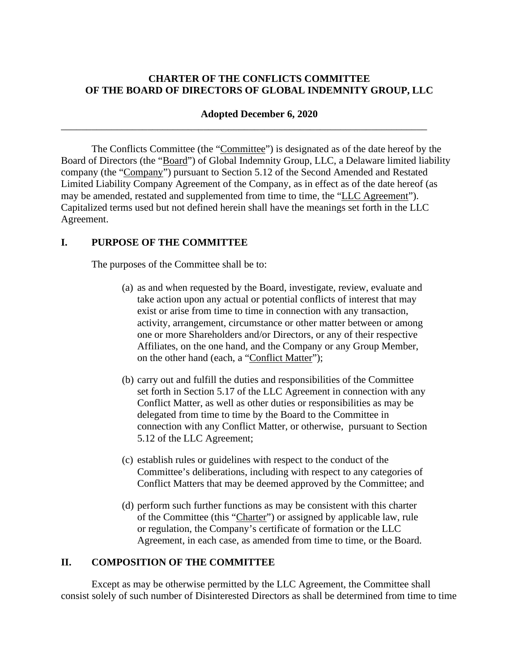## **CHARTER OF THE CONFLICTS COMMITTEE OF THE BOARD OF DIRECTORS OF GLOBAL INDEMNITY GROUP, LLC**

### **Adopted December 6, 2020**

\_\_\_\_\_\_\_\_\_\_\_\_\_\_\_\_\_\_\_\_\_\_\_\_\_\_\_\_\_\_\_\_\_\_\_\_\_\_\_\_\_\_\_\_\_\_\_\_\_\_\_\_\_\_\_\_\_\_\_\_\_\_\_\_\_\_\_\_\_\_\_\_

The Conflicts Committee (the "Committee") is designated as of the date hereof by the Board of Directors (the "Board") of Global Indemnity Group, LLC, a Delaware limited liability company (the "Company") pursuant to Section 5.12 of the Second Amended and Restated Limited Liability Company Agreement of the Company, as in effect as of the date hereof (as may be amended, restated and supplemented from time to time, the "LLC Agreement"). Capitalized terms used but not defined herein shall have the meanings set forth in the LLC Agreement.

## **I. PURPOSE OF THE COMMITTEE**

The purposes of the Committee shall be to:

- (a) as and when requested by the Board, investigate, review, evaluate and take action upon any actual or potential conflicts of interest that may exist or arise from time to time in connection with any transaction, activity, arrangement, circumstance or other matter between or among one or more Shareholders and/or Directors, or any of their respective Affiliates, on the one hand, and the Company or any Group Member, on the other hand (each, a "Conflict Matter");
- (b) carry out and fulfill the duties and responsibilities of the Committee set forth in Section 5.17 of the LLC Agreement in connection with any Conflict Matter, as well as other duties or responsibilities as may be delegated from time to time by the Board to the Committee in connection with any Conflict Matter, or otherwise, pursuant to Section 5.12 of the LLC Agreement;
- (c) establish rules or guidelines with respect to the conduct of the Committee's deliberations, including with respect to any categories of Conflict Matters that may be deemed approved by the Committee; and
- (d) perform such further functions as may be consistent with this charter of the Committee (this "Charter") or assigned by applicable law, rule or regulation, the Company's certificate of formation or the LLC Agreement, in each case, as amended from time to time, or the Board.

## **II. COMPOSITION OF THE COMMITTEE**

Except as may be otherwise permitted by the LLC Agreement, the Committee shall consist solely of such number of Disinterested Directors as shall be determined from time to time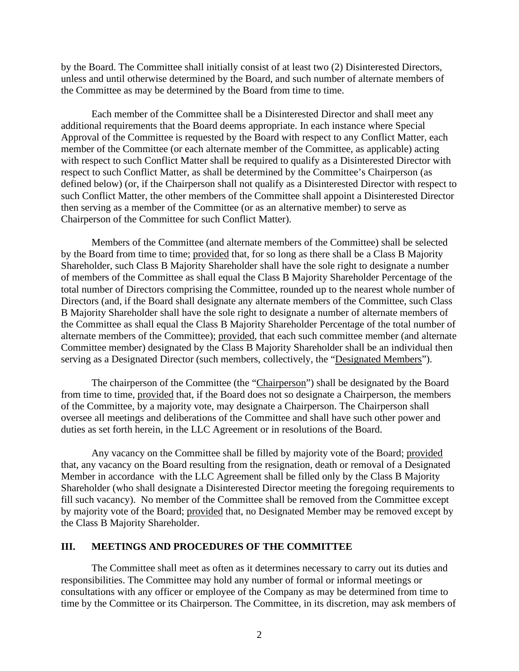by the Board. The Committee shall initially consist of at least two (2) Disinterested Directors, unless and until otherwise determined by the Board, and such number of alternate members of the Committee as may be determined by the Board from time to time.

Each member of the Committee shall be a Disinterested Director and shall meet any additional requirements that the Board deems appropriate. In each instance where Special Approval of the Committee is requested by the Board with respect to any Conflict Matter, each member of the Committee (or each alternate member of the Committee, as applicable) acting with respect to such Conflict Matter shall be required to qualify as a Disinterested Director with respect to such Conflict Matter, as shall be determined by the Committee's Chairperson (as defined below) (or, if the Chairperson shall not qualify as a Disinterested Director with respect to such Conflict Matter, the other members of the Committee shall appoint a Disinterested Director then serving as a member of the Committee (or as an alternative member) to serve as Chairperson of the Committee for such Conflict Matter).

Members of the Committee (and alternate members of the Committee) shall be selected by the Board from time to time; provided that, for so long as there shall be a Class B Majority Shareholder, such Class B Majority Shareholder shall have the sole right to designate a number of members of the Committee as shall equal the Class B Majority Shareholder Percentage of the total number of Directors comprising the Committee, rounded up to the nearest whole number of Directors (and, if the Board shall designate any alternate members of the Committee, such Class B Majority Shareholder shall have the sole right to designate a number of alternate members of the Committee as shall equal the Class B Majority Shareholder Percentage of the total number of alternate members of the Committee); provided, that each such committee member (and alternate Committee member) designated by the Class B Majority Shareholder shall be an individual then serving as a Designated Director (such members, collectively, the "Designated Members").

The chairperson of the Committee (the "Chairperson") shall be designated by the Board from time to time, provided that, if the Board does not so designate a Chairperson, the members of the Committee, by a majority vote, may designate a Chairperson. The Chairperson shall oversee all meetings and deliberations of the Committee and shall have such other power and duties as set forth herein, in the LLC Agreement or in resolutions of the Board.

Any vacancy on the Committee shall be filled by majority vote of the Board; provided that, any vacancy on the Board resulting from the resignation, death or removal of a Designated Member in accordance with the LLC Agreement shall be filled only by the Class B Majority Shareholder (who shall designate a Disinterested Director meeting the foregoing requirements to fill such vacancy). No member of the Committee shall be removed from the Committee except by majority vote of the Board; provided that, no Designated Member may be removed except by the Class B Majority Shareholder.

### **III. MEETINGS AND PROCEDURES OF THE COMMITTEE**

The Committee shall meet as often as it determines necessary to carry out its duties and responsibilities. The Committee may hold any number of formal or informal meetings or consultations with any officer or employee of the Company as may be determined from time to time by the Committee or its Chairperson. The Committee, in its discretion, may ask members of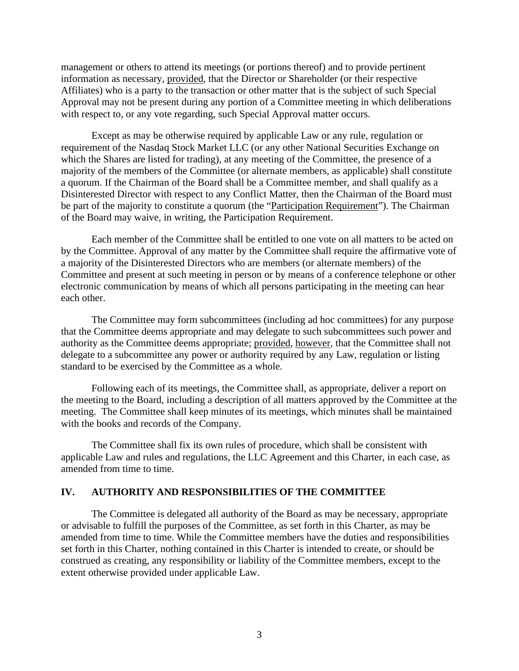management or others to attend its meetings (or portions thereof) and to provide pertinent information as necessary, provided, that the Director or Shareholder (or their respective Affiliates) who is a party to the transaction or other matter that is the subject of such Special Approval may not be present during any portion of a Committee meeting in which deliberations with respect to, or any vote regarding, such Special Approval matter occurs.

Except as may be otherwise required by applicable Law or any rule, regulation or requirement of the Nasdaq Stock Market LLC (or any other National Securities Exchange on which the Shares are listed for trading), at any meeting of the Committee, the presence of a majority of the members of the Committee (or alternate members, as applicable) shall constitute a quorum. If the Chairman of the Board shall be a Committee member, and shall qualify as a Disinterested Director with respect to any Conflict Matter, then the Chairman of the Board must be part of the majority to constitute a quorum (the "Participation Requirement"). The Chairman of the Board may waive, in writing, the Participation Requirement.

Each member of the Committee shall be entitled to one vote on all matters to be acted on by the Committee. Approval of any matter by the Committee shall require the affirmative vote of a majority of the Disinterested Directors who are members (or alternate members) of the Committee and present at such meeting in person or by means of a conference telephone or other electronic communication by means of which all persons participating in the meeting can hear each other.

The Committee may form subcommittees (including ad hoc committees) for any purpose that the Committee deems appropriate and may delegate to such subcommittees such power and authority as the Committee deems appropriate; provided, however*,* that the Committee shall not delegate to a subcommittee any power or authority required by any Law, regulation or listing standard to be exercised by the Committee as a whole.

Following each of its meetings, the Committee shall, as appropriate, deliver a report on the meeting to the Board, including a description of all matters approved by the Committee at the meeting. The Committee shall keep minutes of its meetings, which minutes shall be maintained with the books and records of the Company.

The Committee shall fix its own rules of procedure, which shall be consistent with applicable Law and rules and regulations, the LLC Agreement and this Charter, in each case, as amended from time to time.

#### **IV. AUTHORITY AND RESPONSIBILITIES OF THE COMMITTEE**

The Committee is delegated all authority of the Board as may be necessary, appropriate or advisable to fulfill the purposes of the Committee, as set forth in this Charter, as may be amended from time to time. While the Committee members have the duties and responsibilities set forth in this Charter, nothing contained in this Charter is intended to create, or should be construed as creating, any responsibility or liability of the Committee members, except to the extent otherwise provided under applicable Law.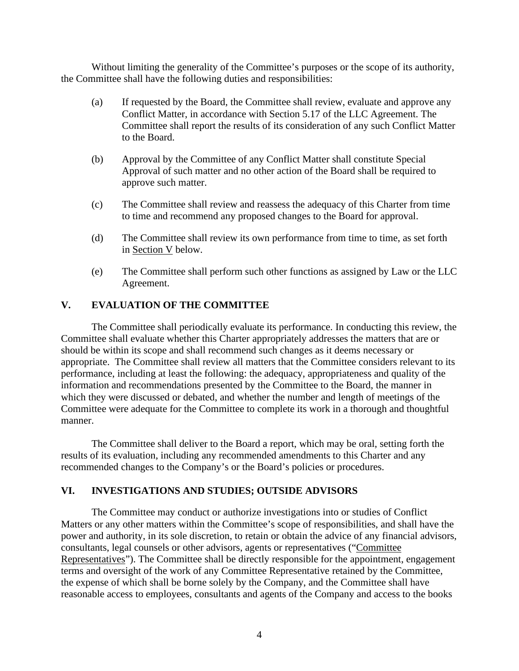Without limiting the generality of the Committee's purposes or the scope of its authority, the Committee shall have the following duties and responsibilities:

- (a) If requested by the Board, the Committee shall review, evaluate and approve any Conflict Matter, in accordance with Section 5.17 of the LLC Agreement. The Committee shall report the results of its consideration of any such Conflict Matter to the Board.
- (b) Approval by the Committee of any Conflict Matter shall constitute Special Approval of such matter and no other action of the Board shall be required to approve such matter.
- (c) The Committee shall review and reassess the adequacy of this Charter from time to time and recommend any proposed changes to the Board for approval.
- (d) The Committee shall review its own performance from time to time, as set forth in Section V below.
- (e) The Committee shall perform such other functions as assigned by Law or the LLC Agreement.

# **V. EVALUATION OF THE COMMITTEE**

The Committee shall periodically evaluate its performance. In conducting this review, the Committee shall evaluate whether this Charter appropriately addresses the matters that are or should be within its scope and shall recommend such changes as it deems necessary or appropriate. The Committee shall review all matters that the Committee considers relevant to its performance, including at least the following: the adequacy, appropriateness and quality of the information and recommendations presented by the Committee to the Board, the manner in which they were discussed or debated, and whether the number and length of meetings of the Committee were adequate for the Committee to complete its work in a thorough and thoughtful manner.

The Committee shall deliver to the Board a report, which may be oral, setting forth the results of its evaluation, including any recommended amendments to this Charter and any recommended changes to the Company's or the Board's policies or procedures.

## **VI. INVESTIGATIONS AND STUDIES; OUTSIDE ADVISORS**

The Committee may conduct or authorize investigations into or studies of Conflict Matters or any other matters within the Committee's scope of responsibilities, and shall have the power and authority, in its sole discretion, to retain or obtain the advice of any financial advisors, consultants, legal counsels or other advisors, agents or representatives ("Committee Representatives"). The Committee shall be directly responsible for the appointment, engagement terms and oversight of the work of any Committee Representative retained by the Committee, the expense of which shall be borne solely by the Company, and the Committee shall have reasonable access to employees, consultants and agents of the Company and access to the books